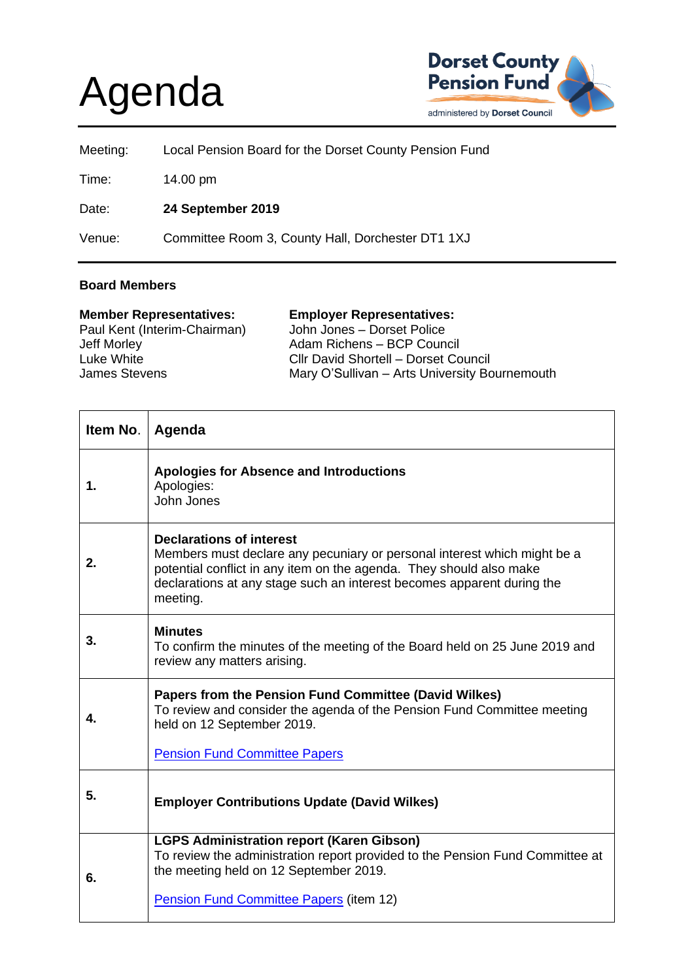## Agenda



| Meeting: | Local Pension Board for the Dorset County Pension Fund |
|----------|--------------------------------------------------------|
| Time:    | 14.00 pm                                               |
| Date:    | 24 September 2019                                      |
| Venue:   | Committee Room 3, County Hall, Dorchester DT1 1XJ      |

## **Board Members**

| <b>Employer Representatives:</b>              |
|-----------------------------------------------|
| John Jones - Dorset Police                    |
| Adam Richens - BCP Council                    |
| Cllr David Shortell - Dorset Council          |
| Mary O'Sullivan - Arts University Bournemouth |
|                                               |

| Item No. | Agenda                                                                                                                                                                                                                                                                   |
|----------|--------------------------------------------------------------------------------------------------------------------------------------------------------------------------------------------------------------------------------------------------------------------------|
| 1.       | <b>Apologies for Absence and Introductions</b><br>Apologies:<br>John Jones                                                                                                                                                                                               |
| 2.       | <b>Declarations of interest</b><br>Members must declare any pecuniary or personal interest which might be a<br>potential conflict in any item on the agenda. They should also make<br>declarations at any stage such an interest becomes apparent during the<br>meeting. |
| 3.       | <b>Minutes</b><br>To confirm the minutes of the meeting of the Board held on 25 June 2019 and<br>review any matters arising.                                                                                                                                             |
| 4.       | Papers from the Pension Fund Committee (David Wilkes)<br>To review and consider the agenda of the Pension Fund Committee meeting<br>held on 12 September 2019.<br><b>Pension Fund Committee Papers</b>                                                                   |
| 5.       | <b>Employer Contributions Update (David Wilkes)</b>                                                                                                                                                                                                                      |
| 6.       | <b>LGPS Administration report (Karen Gibson)</b><br>To review the administration report provided to the Pension Fund Committee at<br>the meeting held on 12 September 2019.<br>Pension Fund Committee Papers (item 12)                                                   |